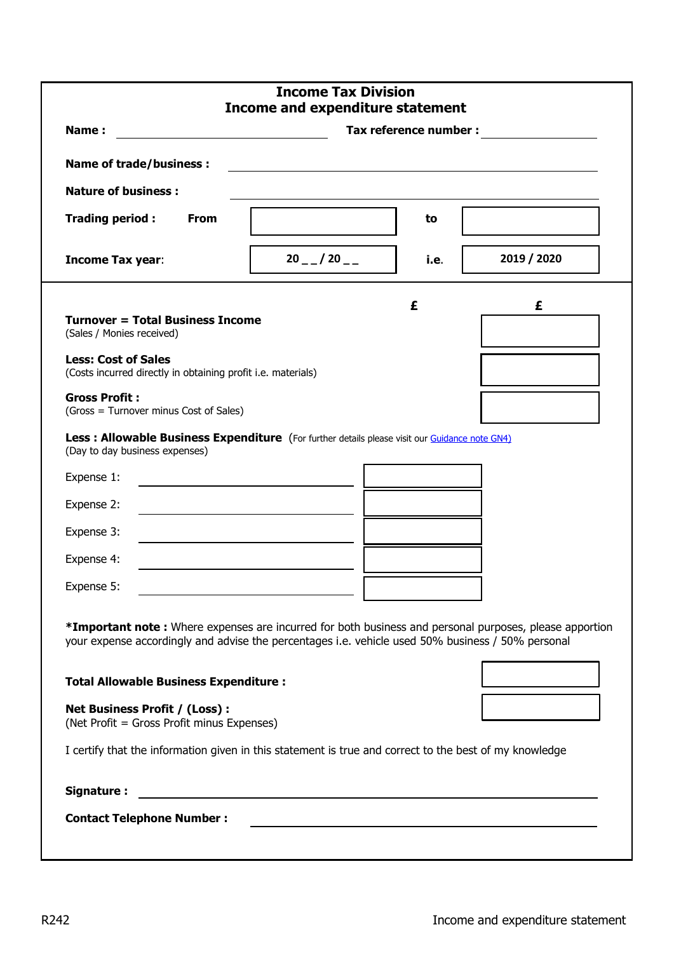| <b>Income Tax Division</b><br><b>Income and expenditure statement</b>                                                                                                                                                                                                                                                                                                                                                        |                                                                                                                      |      |             |  |  |  |  |
|------------------------------------------------------------------------------------------------------------------------------------------------------------------------------------------------------------------------------------------------------------------------------------------------------------------------------------------------------------------------------------------------------------------------------|----------------------------------------------------------------------------------------------------------------------|------|-------------|--|--|--|--|
| Tax reference number :<br>Name:                                                                                                                                                                                                                                                                                                                                                                                              |                                                                                                                      |      |             |  |  |  |  |
| <b>Name of trade/business:</b>                                                                                                                                                                                                                                                                                                                                                                                               |                                                                                                                      |      |             |  |  |  |  |
| <b>Nature of business:</b>                                                                                                                                                                                                                                                                                                                                                                                                   |                                                                                                                      |      |             |  |  |  |  |
| Trading period:<br><b>From</b>                                                                                                                                                                                                                                                                                                                                                                                               |                                                                                                                      | to   |             |  |  |  |  |
| <b>Income Tax year:</b>                                                                                                                                                                                                                                                                                                                                                                                                      | $20 - 20 -$                                                                                                          | i.e. | 2019 / 2020 |  |  |  |  |
| £<br>£<br><b>Turnover = Total Business Income</b><br>(Sales / Monies received)<br><b>Less: Cost of Sales</b><br>(Costs incurred directly in obtaining profit i.e. materials)<br><b>Gross Profit:</b><br>(Gross = Turnover minus Cost of Sales)<br>Less : Allowable Business Expenditure (For further details please visit our Guidance note GN4)<br>(Day to day business expenses)<br>Expense 1:<br>Expense 2:<br>Expense 3: |                                                                                                                      |      |             |  |  |  |  |
| Expense 4:                                                                                                                                                                                                                                                                                                                                                                                                                   |                                                                                                                      |      |             |  |  |  |  |
| Expense 5:                                                                                                                                                                                                                                                                                                                                                                                                                   | <u> 1989 - Johann Barn, mars ann an t-Amhain Aonaich an t-Aonaich an t-Aonaich ann an t-Aonaich ann an t-Aonaich</u> |      |             |  |  |  |  |
| *Important note: Where expenses are incurred for both business and personal purposes, please apportion<br>your expense accordingly and advise the percentages i.e. vehicle used 50% business / 50% personal                                                                                                                                                                                                                  |                                                                                                                      |      |             |  |  |  |  |
| <b>Total Allowable Business Expenditure:</b>                                                                                                                                                                                                                                                                                                                                                                                 |                                                                                                                      |      |             |  |  |  |  |
| <b>Net Business Profit / (Loss):</b><br>(Net Profit = Gross Profit minus Expenses)                                                                                                                                                                                                                                                                                                                                           |                                                                                                                      |      |             |  |  |  |  |
| I certify that the information given in this statement is true and correct to the best of my knowledge                                                                                                                                                                                                                                                                                                                       |                                                                                                                      |      |             |  |  |  |  |
| Signature:<br><u> 1980 - Andrea Station Barbara, actor a component de la componenta</u>                                                                                                                                                                                                                                                                                                                                      |                                                                                                                      |      |             |  |  |  |  |
| <b>Contact Telephone Number:</b>                                                                                                                                                                                                                                                                                                                                                                                             |                                                                                                                      |      |             |  |  |  |  |